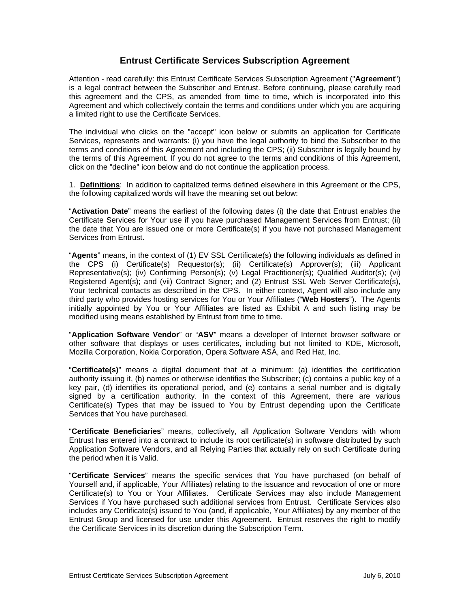# **Entrust Certificate Services Subscription Agreement**

Attention - read carefully: this Entrust Certificate Services Subscription Agreement ("**Agreement**") is a legal contract between the Subscriber and Entrust. Before continuing, please carefully read this agreement and the CPS, as amended from time to time, which is incorporated into this Agreement and which collectively contain the terms and conditions under which you are acquiring a limited right to use the Certificate Services.

The individual who clicks on the "accept" icon below or submits an application for Certificate Services, represents and warrants: (i) you have the legal authority to bind the Subscriber to the terms and conditions of this Agreement and including the CPS; (ii) Subscriber is legally bound by the terms of this Agreement. If you do not agree to the terms and conditions of this Agreement, click on the "decline" icon below and do not continue the application process.

1. **Definitions**: In addition to capitalized terms defined elsewhere in this Agreement or the CPS, the following capitalized words will have the meaning set out below:

"**Activation Date**" means the earliest of the following dates (i) the date that Entrust enables the Certificate Services for Your use if you have purchased Management Services from Entrust; (ii) the date that You are issued one or more Certificate(s) if you have not purchased Management Services from Entrust.

"**Agents**" means, in the context of (1) EV SSL Certificate(s) the following individuals as defined in the CPS (i) Certificate(s) Requestor(s); (ii) Certificate(s) Approver(s); (iii) Applicant Representative(s); (iv) Confirming Person(s); (v) Legal Practitioner(s); Qualified Auditor(s); (vi) Registered Agent(s); and (vii) Contract Signer; and (2) Entrust SSL Web Server Certificate(s), Your technical contacts as described in the CPS. In either context, Agent will also include any third party who provides hosting services for You or Your Affiliates ("**Web Hosters**"). The Agents initially appointed by You or Your Affiliates are listed as Exhibit A and such listing may be modified using means established by Entrust from time to time.

"**Application Software Vendor**" or "**ASV**" means a developer of Internet browser software or other software that displays or uses certificates, including but not limited to KDE, Microsoft, Mozilla Corporation, Nokia Corporation, Opera Software ASA, and Red Hat, Inc.

"**Certificate(s)**" means a digital document that at a minimum: (a) identifies the certification authority issuing it, (b) names or otherwise identifies the Subscriber; (c) contains a public key of a key pair, (d) identifies its operational period, and (e) contains a serial number and is digitally signed by a certification authority. In the context of this Agreement, there are various Certificate(s) Types that may be issued to You by Entrust depending upon the Certificate Services that You have purchased.

"**Certificate Beneficiaries**" means, collectively, all Application Software Vendors with whom Entrust has entered into a contract to include its root certificate(s) in software distributed by such Application Software Vendors, and all Relying Parties that actually rely on such Certificate during the period when it is Valid.

"**Certificate Services**" means the specific services that You have purchased (on behalf of Yourself and, if applicable, Your Affiliates) relating to the issuance and revocation of one or more Certificate(s) to You or Your Affiliates. Certificate Services may also include Management Services if You have purchased such additional services from Entrust. Certificate Services also includes any Certificate(s) issued to You (and, if applicable, Your Affiliates) by any member of the Entrust Group and licensed for use under this Agreement. Entrust reserves the right to modify the Certificate Services in its discretion during the Subscription Term.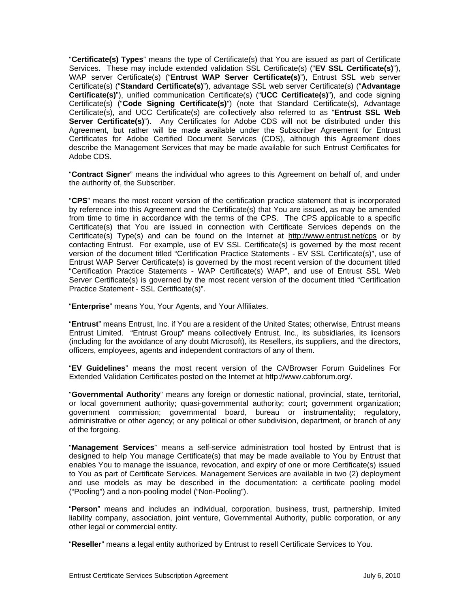"**Certificate(s) Types**" means the type of Certificate(s) that You are issued as part of Certificate Services. These may include extended validation SSL Certificate(s) ("**EV SSL Certificate(s)**"), WAP server Certificate(s) ("**Entrust WAP Server Certificate(s)**"), Entrust SSL web server Certificate(s) ("**Standard Certificate(s)**"), advantage SSL web server Certificate(s) ("**Advantage Certificate(s)**"), unified communication Certificate(s) ("**UCC Certificate(s)**"), and code signing Certificate(s) ("**Code Signing Certificate(s)**") (note that Standard Certificate(s), Advantage Certificate(s), and UCC Certificate(s) are collectively also referred to as "**Entrust SSL Web Server Certificate(s)**"). Any Certificates for Adobe CDS will not be distributed under this Agreement, but rather will be made available under the Subscriber Agreement for Entrust Certificates for Adobe Certified Document Services (CDS), although this Agreement does describe the Management Services that may be made available for such Entrust Certificates for Adobe CDS.

"**Contract Signer**" means the individual who agrees to this Agreement on behalf of, and under the authority of, the Subscriber.

"**CPS**" means the most recent version of the certification practice statement that is incorporated by reference into this Agreement and the Certificate(s) that You are issued, as may be amended from time to time in accordance with the terms of the CPS. The CPS applicable to a specific Certificate(s) that You are issued in connection with Certificate Services depends on the Certificate(s) Type(s) and can be found on the Internet at http://www.entrust.net/cps or by contacting Entrust. For example, use of EV SSL Certificate(s) is governed by the most recent version of the document titled "Certification Practice Statements - EV SSL Certificate(s)", use of Entrust WAP Server Certificate(s) is governed by the most recent version of the document titled "Certification Practice Statements - WAP Certificate(s) WAP", and use of Entrust SSL Web Server Certificate(s) is governed by the most recent version of the document titled "Certification Practice Statement - SSL Certificate(s)".

"**Enterprise**" means You, Your Agents, and Your Affiliates.

"**Entrust**" means Entrust, Inc. if You are a resident of the United States; otherwise, Entrust means Entrust Limited. "Entrust Group" means collectively Entrust, Inc., its subsidiaries, its licensors (including for the avoidance of any doubt Microsoft), its Resellers, its suppliers, and the directors, officers, employees, agents and independent contractors of any of them.

"**EV Guidelines**" means the most recent version of the CA/Browser Forum Guidelines For Extended Validation Certificates posted on the Internet at http://www.cabforum.org/.

"**Governmental Authority**" means any foreign or domestic national, provincial, state, territorial, or local government authority; quasi-governmental authority; court; government organization; government commission; governmental board, bureau or instrumentality; regulatory, administrative or other agency; or any political or other subdivision, department, or branch of any of the forgoing.

"**Management Services**" means a self-service administration tool hosted by Entrust that is designed to help You manage Certificate(s) that may be made available to You by Entrust that enables You to manage the issuance, revocation, and expiry of one or more Certificate(s) issued to You as part of Certificate Services. Management Services are available in two (2) deployment and use models as may be described in the documentation: a certificate pooling model ("Pooling") and a non-pooling model ("Non-Pooling").

"**Person**" means and includes an individual, corporation, business, trust, partnership, limited liability company, association, joint venture, Governmental Authority, public corporation, or any other legal or commercial entity.

"**Reseller**" means a legal entity authorized by Entrust to resell Certificate Services to You.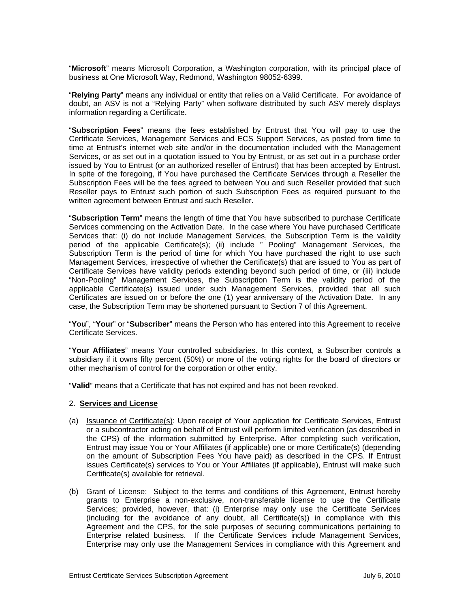"**Microsoft**" means Microsoft Corporation, a Washington corporation, with its principal place of business at One Microsoft Way, Redmond, Washington 98052-6399.

"**Relying Party**" means any individual or entity that relies on a Valid Certificate. For avoidance of doubt, an ASV is not a "Relying Party" when software distributed by such ASV merely displays information regarding a Certificate.

"**Subscription Fees**" means the fees established by Entrust that You will pay to use the Certificate Services, Management Services and ECS Support Services, as posted from time to time at Entrust's internet web site and/or in the documentation included with the Management Services, or as set out in a quotation issued to You by Entrust, or as set out in a purchase order issued by You to Entrust (or an authorized reseller of Entrust) that has been accepted by Entrust. In spite of the foregoing, if You have purchased the Certificate Services through a Reseller the Subscription Fees will be the fees agreed to between You and such Reseller provided that such Reseller pays to Entrust such portion of such Subscription Fees as required pursuant to the written agreement between Entrust and such Reseller.

"**Subscription Term**" means the length of time that You have subscribed to purchase Certificate Services commencing on the Activation Date. In the case where You have purchased Certificate Services that: (i) do not include Management Services, the Subscription Term is the validity period of the applicable Certificate(s); (ii) include " Pooling" Management Services, the Subscription Term is the period of time for which You have purchased the right to use such Management Services, irrespective of whether the Certificate(s) that are issued to You as part of Certificate Services have validity periods extending beyond such period of time, or (iii) include "Non-Pooling" Management Services, the Subscription Term is the validity period of the applicable Certificate(s) issued under such Management Services, provided that all such Certificates are issued on or before the one (1) year anniversary of the Activation Date. In any case, the Subscription Term may be shortened pursuant to Section 7 of this Agreement.

"**You**", "**Your**" or "**Subscriber**" means the Person who has entered into this Agreement to receive Certificate Services.

"**Your Affiliates**" means Your controlled subsidiaries. In this context, a Subscriber controls a subsidiary if it owns fifty percent (50%) or more of the voting rights for the board of directors or other mechanism of control for the corporation or other entity.

"**Valid**" means that a Certificate that has not expired and has not been revoked.

#### 2. **Services and License**

- (a) Issuance of Certificate(s): Upon receipt of Your application for Certificate Services, Entrust or a subcontractor acting on behalf of Entrust will perform limited verification (as described in the CPS) of the information submitted by Enterprise. After completing such verification, Entrust may issue You or Your Affiliates (if applicable) one or more Certificate(s) (depending on the amount of Subscription Fees You have paid) as described in the CPS. If Entrust issues Certificate(s) services to You or Your Affiliates (if applicable), Entrust will make such Certificate(s) available for retrieval.
- (b) Grant of License: Subject to the terms and conditions of this Agreement, Entrust hereby grants to Enterprise a non-exclusive, non-transferable license to use the Certificate Services; provided, however, that: (i) Enterprise may only use the Certificate Services (including for the avoidance of any doubt, all Certificate(s)) in compliance with this Agreement and the CPS, for the sole purposes of securing communications pertaining to Enterprise related business. If the Certificate Services include Management Services, Enterprise may only use the Management Services in compliance with this Agreement and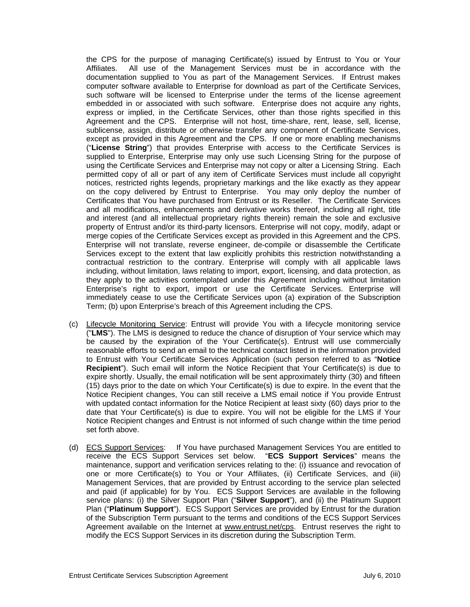the CPS for the purpose of managing Certificate(s) issued by Entrust to You or Your Affiliates. All use of the Management Services must be in accordance with the documentation supplied to You as part of the Management Services. If Entrust makes computer software available to Enterprise for download as part of the Certificate Services, such software will be licensed to Enterprise under the terms of the license agreement embedded in or associated with such software. Enterprise does not acquire any rights, express or implied, in the Certificate Services, other than those rights specified in this Agreement and the CPS. Enterprise will not host, time-share, rent, lease, sell, license, sublicense, assign, distribute or otherwise transfer any component of Certificate Services, except as provided in this Agreement and the CPS. If one or more enabling mechanisms ("**License String**") that provides Enterprise with access to the Certificate Services is supplied to Enterprise, Enterprise may only use such Licensing String for the purpose of using the Certificate Services and Enterprise may not copy or alter a Licensing String. Each permitted copy of all or part of any item of Certificate Services must include all copyright notices, restricted rights legends, proprietary markings and the like exactly as they appear on the copy delivered by Entrust to Enterprise. You may only deploy the number of Certificates that You have purchased from Entrust or its Reseller. The Certificate Services and all modifications, enhancements and derivative works thereof, including all right, title and interest (and all intellectual proprietary rights therein) remain the sole and exclusive property of Entrust and/or its third-party licensors. Enterprise will not copy, modify, adapt or merge copies of the Certificate Services except as provided in this Agreement and the CPS. Enterprise will not translate, reverse engineer, de-compile or disassemble the Certificate Services except to the extent that law explicitly prohibits this restriction notwithstanding a contractual restriction to the contrary. Enterprise will comply with all applicable laws including, without limitation, laws relating to import, export, licensing, and data protection, as they apply to the activities contemplated under this Agreement including without limitation Enterprise's right to export, import or use the Certificate Services. Enterprise will immediately cease to use the Certificate Services upon (a) expiration of the Subscription Term; (b) upon Enterprise's breach of this Agreement including the CPS.

- (c) Lifecycle Monitoring Service: Entrust will provide You with a lifecycle monitoring service ("**LMS**"). The LMS is designed to reduce the chance of disruption of Your service which may be caused by the expiration of the Your Certificate(s). Entrust will use commercially reasonable efforts to send an email to the technical contact listed in the information provided to Entrust with Your Certificate Services Application (such person referred to as "**Notice Recipient**"). Such email will inform the Notice Recipient that Your Certificate(s) is due to expire shortly. Usually, the email notification will be sent approximately thirty (30) and fifteen (15) days prior to the date on which Your Certificate(s) is due to expire. In the event that the Notice Recipient changes, You can still receive a LMS email notice if You provide Entrust with updated contact information for the Notice Recipient at least sixty (60) days prior to the date that Your Certificate(s) is due to expire. You will not be eligible for the LMS if Your Notice Recipient changes and Entrust is not informed of such change within the time period set forth above.
- (d) ECS Support Services: If You have purchased Management Services You are entitled to receive the ECS Support Services set below. "**ECS Support Services**" means the maintenance, support and verification services relating to the: (i) issuance and revocation of one or more Certificate(s) to You or Your Affiliates, (ii) Certificate Services, and (iii) Management Services, that are provided by Entrust according to the service plan selected and paid (if applicable) for by You. ECS Support Services are available in the following service plans: (i) the Silver Support Plan ("**Silver Support**"), and (ii) the Platinum Support Plan ("**Platinum Support**"). ECS Support Services are provided by Entrust for the duration of the Subscription Term pursuant to the terms and conditions of the ECS Support Services Agreement available on the Internet at www.entrust.net/cps. Entrust reserves the right to modify the ECS Support Services in its discretion during the Subscription Term.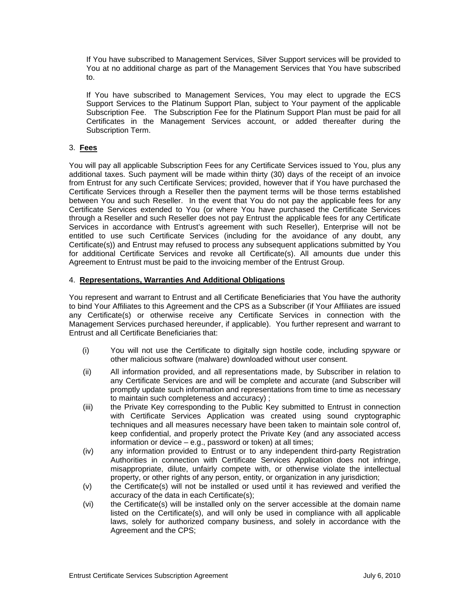If You have subscribed to Management Services, Silver Support services will be provided to You at no additional charge as part of the Management Services that You have subscribed to.

If You have subscribed to Management Services, You may elect to upgrade the ECS Support Services to the Platinum Support Plan, subject to Your payment of the applicable Subscription Fee. The Subscription Fee for the Platinum Support Plan must be paid for all Certificates in the Management Services account, or added thereafter during the Subscription Term.

# 3. **Fees**

You will pay all applicable Subscription Fees for any Certificate Services issued to You, plus any additional taxes. Such payment will be made within thirty (30) days of the receipt of an invoice from Entrust for any such Certificate Services; provided, however that if You have purchased the Certificate Services through a Reseller then the payment terms will be those terms established between You and such Reseller. In the event that You do not pay the applicable fees for any Certificate Services extended to You (or where You have purchased the Certificate Services through a Reseller and such Reseller does not pay Entrust the applicable fees for any Certificate Services in accordance with Entrust's agreement with such Reseller), Enterprise will not be entitled to use such Certificate Services (including for the avoidance of any doubt, any Certificate(s)) and Entrust may refused to process any subsequent applications submitted by You for additional Certificate Services and revoke all Certificate(s). All amounts due under this Agreement to Entrust must be paid to the invoicing member of the Entrust Group.

#### 4. **Representations, Warranties And Additional Obligations**

You represent and warrant to Entrust and all Certificate Beneficiaries that You have the authority to bind Your Affiliates to this Agreement and the CPS as a Subscriber (if Your Affiliates are issued any Certificate(s) or otherwise receive any Certificate Services in connection with the Management Services purchased hereunder, if applicable). You further represent and warrant to Entrust and all Certificate Beneficiaries that:

- (i) You will not use the Certificate to digitally sign hostile code, including spyware or other malicious software (malware) downloaded without user consent.
- (ii) All information provided, and all representations made, by Subscriber in relation to any Certificate Services are and will be complete and accurate (and Subscriber will promptly update such information and representations from time to time as necessary to maintain such completeness and accuracy) ;
- (iii) the Private Key corresponding to the Public Key submitted to Entrust in connection with Certificate Services Application was created using sound cryptographic techniques and all measures necessary have been taken to maintain sole control of, keep confidential, and properly protect the Private Key (and any associated access information or device – e.g., password or token) at all times;
- (iv) any information provided to Entrust or to any independent third-party Registration Authorities in connection with Certificate Services Application does not infringe, misappropriate, dilute, unfairly compete with, or otherwise violate the intellectual property, or other rights of any person, entity, or organization in any jurisdiction;
- (v) the Certificate(s) will not be installed or used until it has reviewed and verified the accuracy of the data in each Certificate(s);
- (vi) the Certificate(s) will be installed only on the server accessible at the domain name listed on the Certificate(s), and will only be used in compliance with all applicable laws, solely for authorized company business, and solely in accordance with the Agreement and the CPS;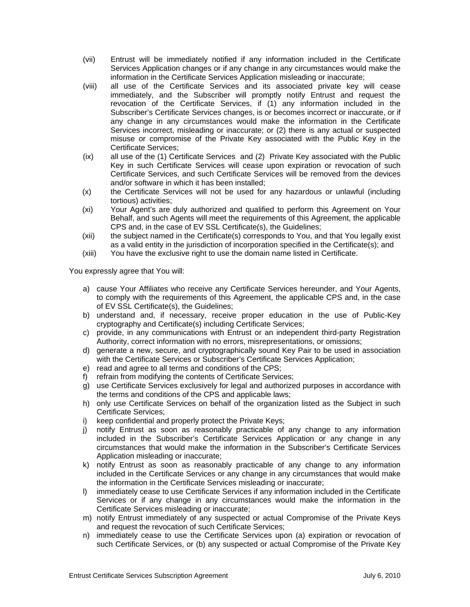- (vii) Entrust will be immediately notified if any information included in the Certificate Services Application changes or if any change in any circumstances would make the information in the Certificate Services Application misleading or inaccurate;
- (viii) all use of the Certificate Services and its associated private key will cease immediately, and the Subscriber will promptly notify Entrust and request the revocation of the Certificate Services, if (1) any information included in the Subscriber's Certificate Services changes, is or becomes incorrect or inaccurate, or if any change in any circumstances would make the information in the Certificate Services incorrect, misleading or inaccurate; or (2) there is any actual or suspected misuse or compromise of the Private Key associated with the Public Key in the Certificate Services;
- (ix) all use of the (1) Certificate Services and (2) Private Key associated with the Public Key in such Certificate Services will cease upon expiration or revocation of such Certificate Services, and such Certificate Services will be removed from the devices and/or software in which it has been installed;
- (x) the Certificate Services will not be used for any hazardous or unlawful (including tortious) activities;
- (xi) Your Agent's are duly authorized and qualified to perform this Agreement on Your Behalf, and such Agents will meet the requirements of this Agreement, the applicable CPS and, in the case of EV SSL Certificate(s), the Guidelines;
- (xii) the subject named in the Certificate(s) corresponds to You, and that You legally exist as a valid entity in the jurisdiction of incorporation specified in the Certificate(s); and
- (xiii) You have the exclusive right to use the domain name listed in Certificate.

You expressly agree that You will:

- a) cause Your Affiliates who receive any Certificate Services hereunder, and Your Agents, to comply with the requirements of this Agreement, the applicable CPS and, in the case of EV SSL Certificate(s), the Guidelines;
- b) understand and, if necessary, receive proper education in the use of Public-Key cryptography and Certificate(s) including Certificate Services;
- c) provide, in any communications with Entrust or an independent third-party Registration Authority, correct information with no errors, misrepresentations, or omissions;
- d) generate a new, secure, and cryptographically sound Key Pair to be used in association with the Certificate Services or Subscriber's Certificate Services Application;
- e) read and agree to all terms and conditions of the CPS;
- f) refrain from modifying the contents of Certificate Services;
- g) use Certificate Services exclusively for legal and authorized purposes in accordance with the terms and conditions of the CPS and applicable laws;
- h) only use Certificate Services on behalf of the organization listed as the Subject in such Certificate Services;
- i) keep confidential and properly protect the Private Keys;
- j) notify Entrust as soon as reasonably practicable of any change to any information included in the Subscriber's Certificate Services Application or any change in any circumstances that would make the information in the Subscriber's Certificate Services Application misleading or inaccurate;
- k) notify Entrust as soon as reasonably practicable of any change to any information included in the Certificate Services or any change in any circumstances that would make the information in the Certificate Services misleading or inaccurate;
- l) immediately cease to use Certificate Services if any information included in the Certificate Services or if any change in any circumstances would make the information in the Certificate Services misleading or inaccurate;
- m) notify Entrust immediately of any suspected or actual Compromise of the Private Keys and request the revocation of such Certificate Services;
- n) immediately cease to use the Certificate Services upon (a) expiration or revocation of such Certificate Services, or (b) any suspected or actual Compromise of the Private Key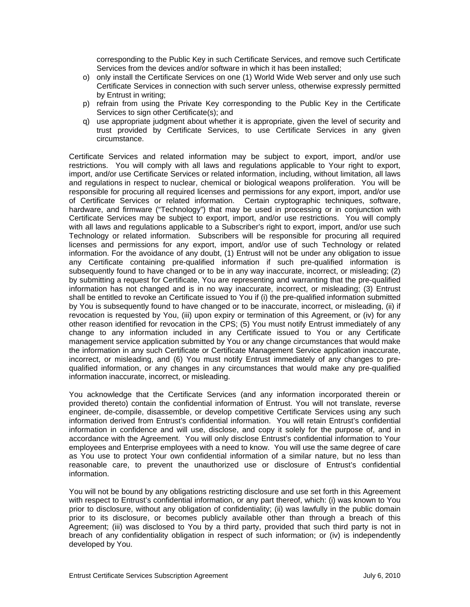corresponding to the Public Key in such Certificate Services, and remove such Certificate Services from the devices and/or software in which it has been installed;

- o) only install the Certificate Services on one (1) World Wide Web server and only use such Certificate Services in connection with such server unless, otherwise expressly permitted by Entrust in writing;
- p) refrain from using the Private Key corresponding to the Public Key in the Certificate Services to sign other Certificate(s); and
- q) use appropriate judgment about whether it is appropriate, given the level of security and trust provided by Certificate Services, to use Certificate Services in any given circumstance.

Certificate Services and related information may be subject to export, import, and/or use restrictions. You will comply with all laws and regulations applicable to Your right to export, import, and/or use Certificate Services or related information, including, without limitation, all laws and regulations in respect to nuclear, chemical or biological weapons proliferation. You will be responsible for procuring all required licenses and permissions for any export, import, and/or use of Certificate Services or related information. Certain cryptographic techniques, software, hardware, and firmware ("Technology") that may be used in processing or in conjunction with Certificate Services may be subject to export, import, and/or use restrictions. You will comply with all laws and regulations applicable to a Subscriber's right to export, import, and/or use such Technology or related information. Subscribers will be responsible for procuring all required licenses and permissions for any export, import, and/or use of such Technology or related information. For the avoidance of any doubt, (1) Entrust will not be under any obligation to issue any Certificate containing pre-qualified information if such pre-qualified information is subsequently found to have changed or to be in any way inaccurate, incorrect, or misleading; (2) by submitting a request for Certificate, You are representing and warranting that the pre-qualified information has not changed and is in no way inaccurate, incorrect, or misleading; (3) Entrust shall be entitled to revoke an Certificate issued to You if (i) the pre-qualified information submitted by You is subsequently found to have changed or to be inaccurate, incorrect, or misleading, (ii) if revocation is requested by You, (iii) upon expiry or termination of this Agreement, or (iv) for any other reason identified for revocation in the CPS; (5) You must notify Entrust immediately of any change to any information included in any Certificate issued to You or any Certificate management service application submitted by You or any change circumstances that would make the information in any such Certificate or Certificate Management Service application inaccurate, incorrect, or misleading, and (6) You must notify Entrust immediately of any changes to prequalified information, or any changes in any circumstances that would make any pre-qualified information inaccurate, incorrect, or misleading.

You acknowledge that the Certificate Services (and any information incorporated therein or provided thereto) contain the confidential information of Entrust. You will not translate, reverse engineer, de-compile, disassemble, or develop competitive Certificate Services using any such information derived from Entrust's confidential information. You will retain Entrust's confidential information in confidence and will use, disclose, and copy it solely for the purpose of, and in accordance with the Agreement. You will only disclose Entrust's confidential information to Your employees and Enterprise employees with a need to know. You will use the same degree of care as You use to protect Your own confidential information of a similar nature, but no less than reasonable care, to prevent the unauthorized use or disclosure of Entrust's confidential information.

You will not be bound by any obligations restricting disclosure and use set forth in this Agreement with respect to Entrust's confidential information, or any part thereof, which: (i) was known to You prior to disclosure, without any obligation of confidentiality; (ii) was lawfully in the public domain prior to its disclosure, or becomes publicly available other than through a breach of this Agreement; (iii) was disclosed to You by a third party, provided that such third party is not in breach of any confidentiality obligation in respect of such information; or (iv) is independently developed by You.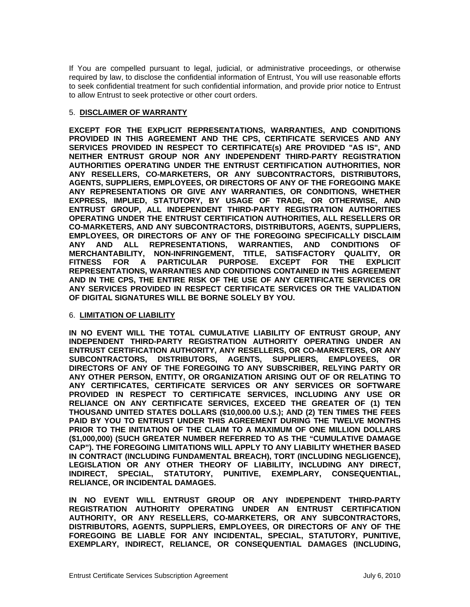If You are compelled pursuant to legal, judicial, or administrative proceedings, or otherwise required by law, to disclose the confidential information of Entrust, You will use reasonable efforts to seek confidential treatment for such confidential information, and provide prior notice to Entrust to allow Entrust to seek protective or other court orders.

#### 5. **DISCLAIMER OF WARRANTY**

**EXCEPT FOR THE EXPLICIT REPRESENTATIONS, WARRANTIES, AND CONDITIONS PROVIDED IN THIS AGREEMENT AND THE CPS, CERTIFICATE SERVICES AND ANY SERVICES PROVIDED IN RESPECT TO CERTIFICATE(s) ARE PROVIDED "AS IS", AND NEITHER ENTRUST GROUP NOR ANY INDEPENDENT THIRD-PARTY REGISTRATION AUTHORITIES OPERATING UNDER THE ENTRUST CERTIFICATION AUTHORITIES, NOR ANY RESELLERS, CO-MARKETERS, OR ANY SUBCONTRACTORS, DISTRIBUTORS, AGENTS, SUPPLIERS, EMPLOYEES, OR DIRECTORS OF ANY OF THE FOREGOING MAKE ANY REPRESENTATIONS OR GIVE ANY WARRANTIES, OR CONDITIONS, WHETHER EXPRESS, IMPLIED, STATUTORY, BY USAGE OF TRADE, OR OTHERWISE, AND ENTRUST GROUP, ALL INDEPENDENT THIRD-PARTY REGISTRATION AUTHORITIES OPERATING UNDER THE ENTRUST CERTIFICATION AUTHORITIES, ALL RESELLERS OR CO-MARKETERS, AND ANY SUBCONTRACTORS, DISTRIBUTORS, AGENTS, SUPPLIERS, EMPLOYEES, OR DIRECTORS OF ANY OF THE FOREGOING SPECIFICALLY DISCLAIM ANY AND ALL REPRESENTATIONS, WARRANTIES, AND CONDITIONS OF MERCHANTABILITY, NON-INFRINGEMENT, TITLE, SATISFACTORY QUALITY, OR FITNESS FOR A PARTICULAR PURPOSE. EXCEPT FOR THE EXPLICIT REPRESENTATIONS, WARRANTIES AND CONDITIONS CONTAINED IN THIS AGREEMENT AND IN THE CPS, THE ENTIRE RISK OF THE USE OF ANY CERTIFICATE SERVICES OR ANY SERVICES PROVIDED IN RESPECT CERTIFICATE SERVICES OR THE VALIDATION OF DIGITAL SIGNATURES WILL BE BORNE SOLELY BY YOU.**

#### 6. **LIMITATION OF LIABILITY**

**IN NO EVENT WILL THE TOTAL CUMULATIVE LIABILITY OF ENTRUST GROUP, ANY INDEPENDENT THIRD-PARTY REGISTRATION AUTHORITY OPERATING UNDER AN ENTRUST CERTIFICATION AUTHORITY, ANY RESELLERS, OR CO-MARKETERS, OR ANY SUBCONTRACTORS, DISTRIBUTORS, AGENTS, SUPPLIERS, EMPLOYEES, OR DIRECTORS OF ANY OF THE FOREGOING TO ANY SUBSCRIBER, RELYING PARTY OR ANY OTHER PERSON, ENTITY, OR ORGANIZATION ARISING OUT OF OR RELATING TO ANY CERTIFICATES, CERTIFICATE SERVICES OR ANY SERVICES OR SOFTWARE PROVIDED IN RESPECT TO CERTIFICATE SERVICES, INCLUDING ANY USE OR RELIANCE ON ANY CERTIFICATE SERVICES, EXCEED THE GREATER OF (1) TEN THOUSAND UNITED STATES DOLLARS (\$10,000.00 U.S.); AND (2) TEN TIMES THE FEES PAID BY YOU TO ENTRUST UNDER THIS AGREEMENT DURING THE TWELVE MONTHS PRIOR TO THE INITIATION OF THE CLAIM TO A MAXIMUM OF ONE MILLION DOLLARS (\$1,000,000) (SUCH GREATER NUMBER REFERRED TO AS THE "CUMULATIVE DAMAGE CAP"). THE FOREGOING LIMITATIONS WILL APPLY TO ANY LIABILITY WHETHER BASED IN CONTRACT (INCLUDING FUNDAMENTAL BREACH), TORT (INCLUDING NEGLIGENCE), LEGISLATION OR ANY OTHER THEORY OF LIABILITY, INCLUDING ANY DIRECT, INDIRECT, SPECIAL, STATUTORY, PUNITIVE, EXEMPLARY, CONSEQUENTIAL, RELIANCE, OR INCIDENTAL DAMAGES.** 

**IN NO EVENT WILL ENTRUST GROUP OR ANY INDEPENDENT THIRD-PARTY REGISTRATION AUTHORITY OPERATING UNDER AN ENTRUST CERTIFICATION AUTHORITY, OR ANY RESELLERS, CO-MARKETERS, OR ANY SUBCONTRACTORS, DISTRIBUTORS, AGENTS, SUPPLIERS, EMPLOYEES, OR DIRECTORS OF ANY OF THE FOREGOING BE LIABLE FOR ANY INCIDENTAL, SPECIAL, STATUTORY, PUNITIVE, EXEMPLARY, INDIRECT, RELIANCE, OR CONSEQUENTIAL DAMAGES (INCLUDING,**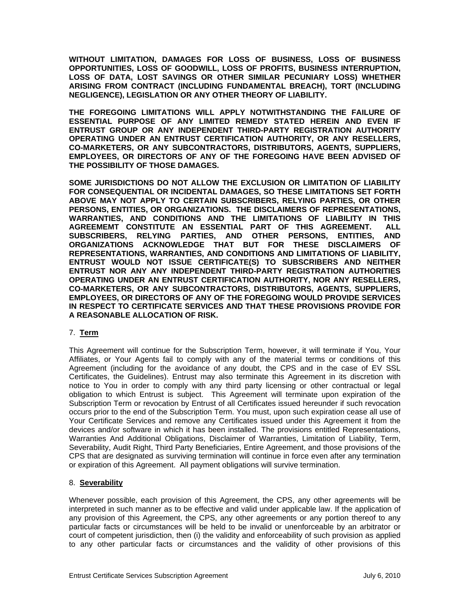**WITHOUT LIMITATION, DAMAGES FOR LOSS OF BUSINESS, LOSS OF BUSINESS OPPORTUNITIES, LOSS OF GOODWILL, LOSS OF PROFITS, BUSINESS INTERRUPTION, LOSS OF DATA, LOST SAVINGS OR OTHER SIMILAR PECUNIARY LOSS) WHETHER ARISING FROM CONTRACT (INCLUDING FUNDAMENTAL BREACH), TORT (INCLUDING NEGLIGENCE), LEGISLATION OR ANY OTHER THEORY OF LIABILITY.** 

**THE FOREGOING LIMITATIONS WILL APPLY NOTWITHSTANDING THE FAILURE OF ESSENTIAL PURPOSE OF ANY LIMITED REMEDY STATED HEREIN AND EVEN IF ENTRUST GROUP OR ANY INDEPENDENT THIRD-PARTY REGISTRATION AUTHORITY OPERATING UNDER AN ENTRUST CERTIFICATION AUTHORITY, OR ANY RESELLERS, CO-MARKETERS, OR ANY SUBCONTRACTORS, DISTRIBUTORS, AGENTS, SUPPLIERS, EMPLOYEES, OR DIRECTORS OF ANY OF THE FOREGOING HAVE BEEN ADVISED OF THE POSSIBILITY OF THOSE DAMAGES.** 

**SOME JURISDICTIONS DO NOT ALLOW THE EXCLUSION OR LIMITATION OF LIABILITY FOR CONSEQUENTIAL OR INCIDENTAL DAMAGES, SO THESE LIMITATIONS SET FORTH ABOVE MAY NOT APPLY TO CERTAIN SUBSCRIBERS, RELYING PARTIES, OR OTHER PERSONS, ENTITIES, OR ORGANIZATIONS. THE DISCLAIMERS OF REPRESENTATIONS, WARRANTIES, AND CONDITIONS AND THE LIMITATIONS OF LIABILITY IN THIS AGREEMEMT CONSTITUTE AN ESSENTIAL PART OF THIS AGREEMENT. ALL SUBSCRIBERS, RELYING PARTIES, AND OTHER PERSONS, ENTITIES, AND ORGANIZATIONS ACKNOWLEDGE THAT BUT FOR THESE DISCLAIMERS OF REPRESENTATIONS, WARRANTIES, AND CONDITIONS AND LIMITATIONS OF LIABILITY, ENTRUST WOULD NOT ISSUE CERTIFICATE(S) TO SUBSCRIBERS AND NEITHER ENTRUST NOR ANY ANY INDEPENDENT THIRD-PARTY REGISTRATION AUTHORITIES OPERATING UNDER AN ENTRUST CERTIFICATION AUTHORITY, NOR ANY RESELLERS, CO-MARKETERS, OR ANY SUBCONTRACTORS, DISTRIBUTORS, AGENTS, SUPPLIERS, EMPLOYEES, OR DIRECTORS OF ANY OF THE FOREGOING WOULD PROVIDE SERVICES IN RESPECT TO CERTIFICATE SERVICES AND THAT THESE PROVISIONS PROVIDE FOR A REASONABLE ALLOCATION OF RISK.** 

## 7. **Term**

This Agreement will continue for the Subscription Term, however, it will terminate if You, Your Affiliates, or Your Agents fail to comply with any of the material terms or conditions of this Agreement (including for the avoidance of any doubt, the CPS and in the case of EV SSL Certificates, the Guidelines). Entrust may also terminate this Agreement in its discretion with notice to You in order to comply with any third party licensing or other contractual or legal obligation to which Entrust is subject. This Agreement will terminate upon expiration of the Subscription Term or revocation by Entrust of all Certificates issued hereunder if such revocation occurs prior to the end of the Subscription Term. You must, upon such expiration cease all use of Your Certificate Services and remove any Certificates issued under this Agreement it from the devices and/or software in which it has been installed. The provisions entitled Representations, Warranties And Additional Obligations, Disclaimer of Warranties, Limitation of Liability, Term, Severability, Audit Right, Third Party Beneficiaries, Entire Agreement, and those provisions of the CPS that are designated as surviving termination will continue in force even after any termination or expiration of this Agreement. All payment obligations will survive termination.

## 8. **Severability**

Whenever possible, each provision of this Agreement, the CPS, any other agreements will be interpreted in such manner as to be effective and valid under applicable law. If the application of any provision of this Agreement, the CPS, any other agreements or any portion thereof to any particular facts or circumstances will be held to be invalid or unenforceable by an arbitrator or court of competent jurisdiction, then (i) the validity and enforceability of such provision as applied to any other particular facts or circumstances and the validity of other provisions of this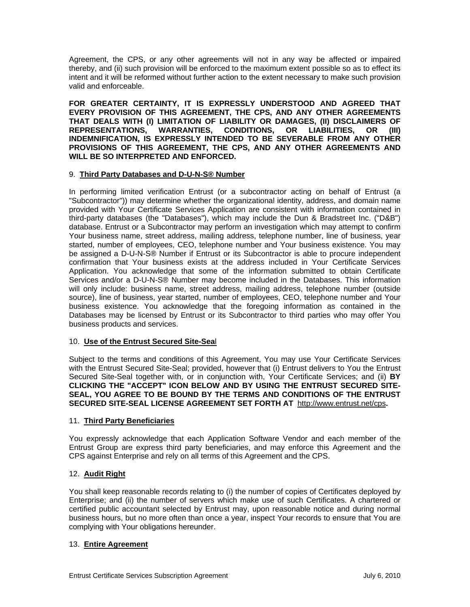Agreement, the CPS, or any other agreements will not in any way be affected or impaired thereby, and (ii) such provision will be enforced to the maximum extent possible so as to effect its intent and it will be reformed without further action to the extent necessary to make such provision valid and enforceable.

**FOR GREATER CERTAINTY, IT IS EXPRESSLY UNDERSTOOD AND AGREED THAT EVERY PROVISION OF THIS AGREEMENT, THE CPS, AND ANY OTHER AGREEMENTS THAT DEALS WITH (I) LIMITATION OF LIABILITY OR DAMAGES, (II) DISCLAIMERS OF REPRESENTATIONS, WARRANTIES, CONDITIONS, OR LIABILITIES, OR (III) INDEMNIFICATION, IS EXPRESSLY INTENDED TO BE SEVERABLE FROM ANY OTHER PROVISIONS OF THIS AGREEMENT, THE CPS, AND ANY OTHER AGREEMENTS AND WILL BE SO INTERPRETED AND ENFORCED.** 

#### 9. **Third Party Databases and D-U-N-S® Number**

In performing limited verification Entrust (or a subcontractor acting on behalf of Entrust (a "Subcontractor")) may determine whether the organizational identity, address, and domain name provided with Your Certificate Services Application are consistent with information contained in third-party databases (the "Databases"), which may include the Dun & Bradstreet Inc. ("D&B") database. Entrust or a Subcontractor may perform an investigation which may attempt to confirm Your business name, street address, mailing address, telephone number, line of business, year started, number of employees, CEO, telephone number and Your business existence. You may be assigned a D-U-N-S® Number if Entrust or its Subcontractor is able to procure independent confirmation that Your business exists at the address included in Your Certificate Services Application. You acknowledge that some of the information submitted to obtain Certificate Services and/or a D-U-N-S® Number may become included in the Databases. This information will only include: business name, street address, mailing address, telephone number (outside source), line of business, year started, number of employees, CEO, telephone number and Your business existence. You acknowledge that the foregoing information as contained in the Databases may be licensed by Entrust or its Subcontractor to third parties who may offer You business products and services.

## 10. **Use of the Entrust Secured Site-Sea**l

Subject to the terms and conditions of this Agreement, You may use Your Certificate Services with the Entrust Secured Site-Seal; provided, however that (i) Entrust delivers to You the Entrust Secured Site-Seal together with, or in conjunction with, Your Certificate Services; and (ii) **BY CLICKING THE "ACCEPT" ICON BELOW AND BY USING THE ENTRUST SECURED SITE-SEAL, YOU AGREE TO BE BOUND BY THE TERMS AND CONDITIONS OF THE ENTRUST SECURED SITE-SEAL LICENSE AGREEMENT SET FORTH AT** http://www.entrust.net/cps**.**

#### 11. **Third Party Beneficiaries**

You expressly acknowledge that each Application Software Vendor and each member of the Entrust Group are express third party beneficiaries, and may enforce this Agreement and the CPS against Enterprise and rely on all terms of this Agreement and the CPS.

## 12. **Audit Right**

You shall keep reasonable records relating to (i) the number of copies of Certificates deployed by Enterprise; and (ii) the number of servers which make use of such Certificates. A chartered or certified public accountant selected by Entrust may, upon reasonable notice and during normal business hours, but no more often than once a year, inspect Your records to ensure that You are complying with Your obligations hereunder.

## 13. **Entire Agreement**